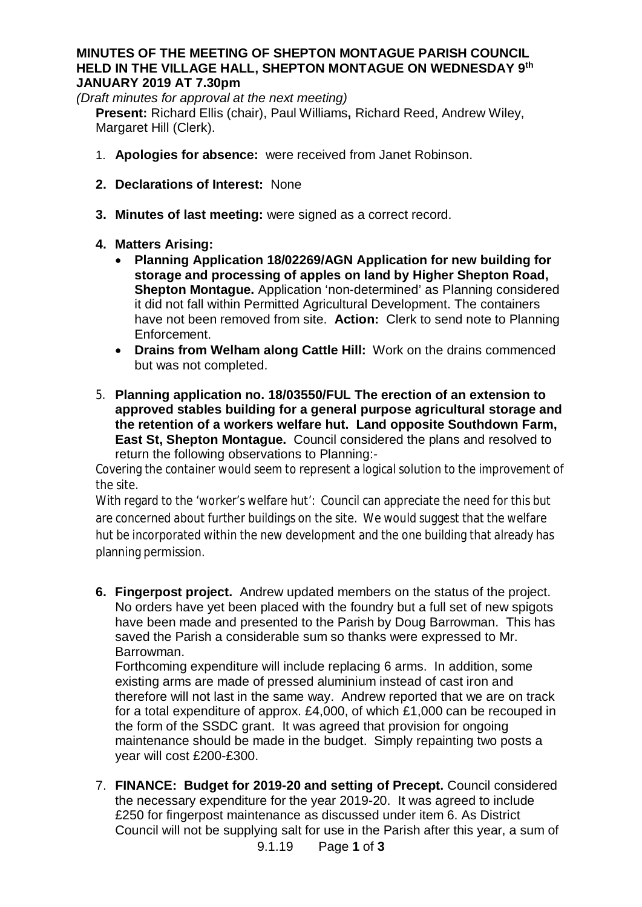## **MINUTES OF THE MEETING OF SHEPTON MONTAGUE PARISH COUNCIL HELD IN THE VILLAGE HALL, SHEPTON MONTAGUE ON WEDNESDAY 9th JANUARY 2019 AT 7.30pm**

*(Draft minutes for approval at the next meeting)*

**Present:** Richard Ellis (chair), Paul Williams**,** Richard Reed, Andrew Wiley, Margaret Hill (Clerk).

- 1. **Apologies for absence:** were received from Janet Robinson.
- **2. Declarations of Interest:** None
- **3. Minutes of last meeting:** were signed as a correct record.
- **4. Matters Arising:**
	- · **Planning Application 18/02269/AGN Application for new building for storage and processing of apples on land by Higher Shepton Road, Shepton Montague.** Application 'non-determined' as Planning considered it did not fall within Permitted Agricultural Development. The containers have not been removed from site. **Action:** Clerk to send note to Planning Enforcement.
	- · **Drains from Welham along Cattle Hill:** Work on the drains commenced but was not completed.
- 5. **Planning application no. 18/03550/FUL The erection of an extension to approved stables building for a general purpose agricultural storage and the retention of a workers welfare hut. Land opposite Southdown Farm, East St, Shepton Montague.** Council considered the plans and resolved to return the following observations to Planning:-

Covering the container would seem to represent a logical solution to the improvement of the site.

With regard to the 'worker's welfare hut': Council can appreciate the need for this but are concerned about further buildings on the site. We would suggest that the welfare hut be incorporated within the new development and the one building that already has planning permission.

**6. Fingerpost project.** Andrew updated members on the status of the project. No orders have yet been placed with the foundry but a full set of new spigots have been made and presented to the Parish by Doug Barrowman. This has saved the Parish a considerable sum so thanks were expressed to Mr. Barrowman.

Forthcoming expenditure will include replacing 6 arms. In addition, some existing arms are made of pressed aluminium instead of cast iron and therefore will not last in the same way. Andrew reported that we are on track for a total expenditure of approx. £4,000, of which £1,000 can be recouped in the form of the SSDC grant. It was agreed that provision for ongoing maintenance should be made in the budget. Simply repainting two posts a year will cost £200-£300.

7. **FINANCE: Budget for 2019-20 and setting of Precept.** Council considered the necessary expenditure for the year 2019-20. It was agreed to include £250 for fingerpost maintenance as discussed under item 6. As District Council will not be supplying salt for use in the Parish after this year, a sum of

9.1.19 Page **1** of **3**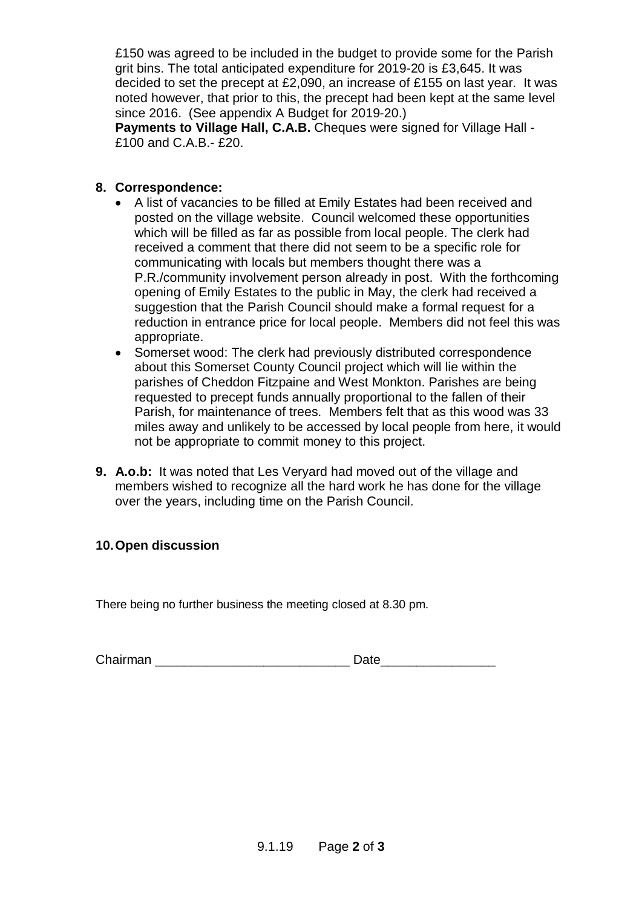£150 was agreed to be included in the budget to provide some for the Parish grit bins. The total anticipated expenditure for 2019-20 is £3,645. It was decided to set the precept at £2,090, an increase of £155 on last year. It was noted however, that prior to this, the precept had been kept at the same level since 2016. (See appendix A Budget for 2019-20.)

**Payments to Village Hall, C.A.B.** Cheques were signed for Village Hall - £100 and C.A.B.- £20.

## **8. Correspondence:**

- A list of vacancies to be filled at Emily Estates had been received and posted on the village website. Council welcomed these opportunities which will be filled as far as possible from local people. The clerk had received a comment that there did not seem to be a specific role for communicating with locals but members thought there was a P.R./community involvement person already in post. With the forthcoming opening of Emily Estates to the public in May, the clerk had received a suggestion that the Parish Council should make a formal request for a reduction in entrance price for local people. Members did not feel this was appropriate.
- · Somerset wood: The clerk had previously distributed correspondence about this Somerset County Council project which will lie within the parishes of Cheddon Fitzpaine and West Monkton. Parishes are being requested to precept funds annually proportional to the fallen of their Parish, for maintenance of trees. Members felt that as this wood was 33 miles away and unlikely to be accessed by local people from here, it would not be appropriate to commit money to this project.
- **9. A.o.b:** It was noted that Les Veryard had moved out of the village and members wished to recognize all the hard work he has done for the village over the years, including time on the Parish Council.

## **10. Open discussion**

There being no further business the meeting closed at 8.30 pm.

Chairman **Date**